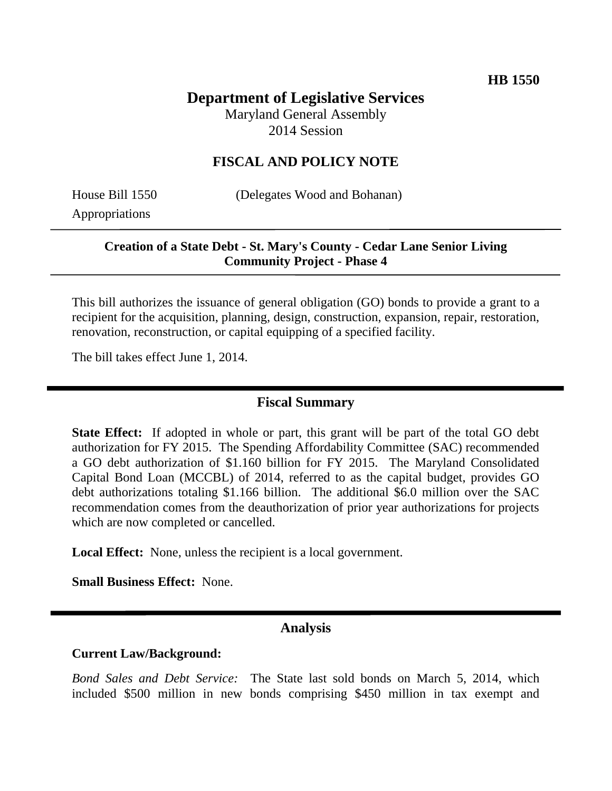# **Department of Legislative Services**

Maryland General Assembly 2014 Session

### **FISCAL AND POLICY NOTE**

Appropriations

House Bill 1550 (Delegates Wood and Bohanan)

## **Creation of a State Debt - St. Mary's County - Cedar Lane Senior Living Community Project - Phase 4**

This bill authorizes the issuance of general obligation (GO) bonds to provide a grant to a recipient for the acquisition, planning, design, construction, expansion, repair, restoration, renovation, reconstruction, or capital equipping of a specified facility.

The bill takes effect June 1, 2014.

## **Fiscal Summary**

**State Effect:** If adopted in whole or part, this grant will be part of the total GO debt authorization for FY 2015. The Spending Affordability Committee (SAC) recommended a GO debt authorization of \$1.160 billion for FY 2015. The Maryland Consolidated Capital Bond Loan (MCCBL) of 2014, referred to as the capital budget, provides GO debt authorizations totaling \$1.166 billion. The additional \$6.0 million over the SAC recommendation comes from the deauthorization of prior year authorizations for projects which are now completed or cancelled.

**Local Effect:** None, unless the recipient is a local government.

**Small Business Effect:** None.

# **Analysis**

#### **Current Law/Background:**

*Bond Sales and Debt Service:* The State last sold bonds on March 5, 2014, which included \$500 million in new bonds comprising \$450 million in tax exempt and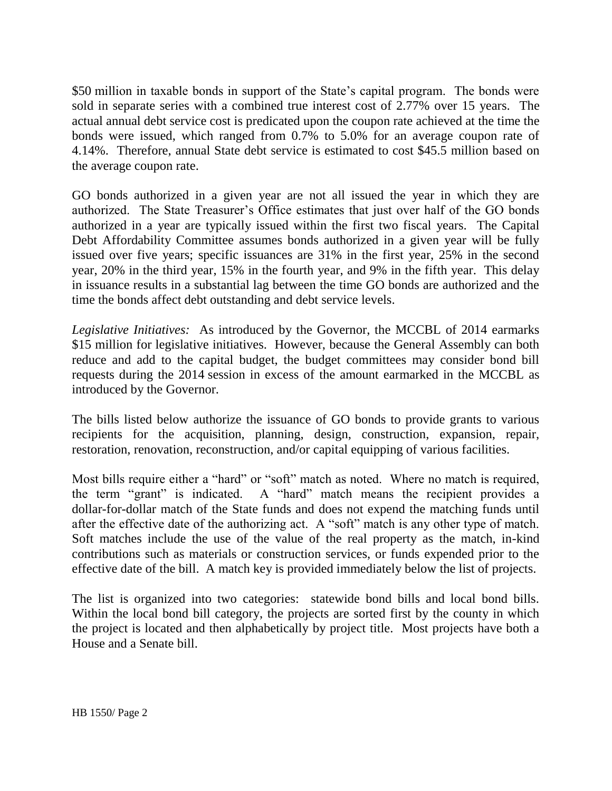\$50 million in taxable bonds in support of the State's capital program. The bonds were sold in separate series with a combined true interest cost of 2.77% over 15 years. The actual annual debt service cost is predicated upon the coupon rate achieved at the time the bonds were issued, which ranged from 0.7% to 5.0% for an average coupon rate of 4.14%. Therefore, annual State debt service is estimated to cost \$45.5 million based on the average coupon rate.

GO bonds authorized in a given year are not all issued the year in which they are authorized. The State Treasurer's Office estimates that just over half of the GO bonds authorized in a year are typically issued within the first two fiscal years. The Capital Debt Affordability Committee assumes bonds authorized in a given year will be fully issued over five years; specific issuances are 31% in the first year, 25% in the second year, 20% in the third year, 15% in the fourth year, and 9% in the fifth year. This delay in issuance results in a substantial lag between the time GO bonds are authorized and the time the bonds affect debt outstanding and debt service levels.

*Legislative Initiatives:* As introduced by the Governor, the MCCBL of 2014 earmarks \$15 million for legislative initiatives. However, because the General Assembly can both reduce and add to the capital budget, the budget committees may consider bond bill requests during the 2014 session in excess of the amount earmarked in the MCCBL as introduced by the Governor.

The bills listed below authorize the issuance of GO bonds to provide grants to various recipients for the acquisition, planning, design, construction, expansion, repair, restoration, renovation, reconstruction, and/or capital equipping of various facilities.

Most bills require either a "hard" or "soft" match as noted. Where no match is required, the term "grant" is indicated. A "hard" match means the recipient provides a dollar-for-dollar match of the State funds and does not expend the matching funds until after the effective date of the authorizing act. A "soft" match is any other type of match. Soft matches include the use of the value of the real property as the match, in-kind contributions such as materials or construction services, or funds expended prior to the effective date of the bill. A match key is provided immediately below the list of projects.

The list is organized into two categories: statewide bond bills and local bond bills. Within the local bond bill category, the projects are sorted first by the county in which the project is located and then alphabetically by project title. Most projects have both a House and a Senate bill.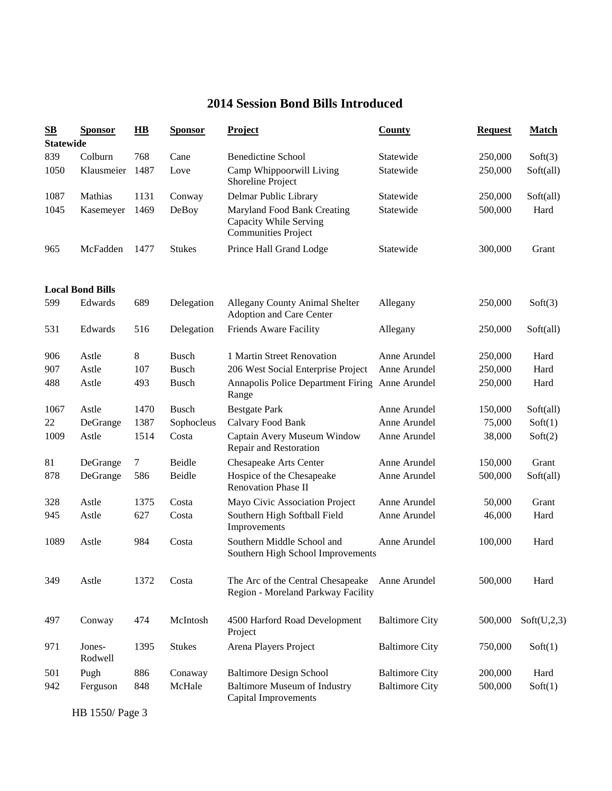# **2014 Session Bond Bills Introduced**

| S <sub>B</sub>   | <b>Sponsor</b>          | $\overline{\mathbf{H}}\mathbf{B}$ | <b>Sponsor</b> | <b>Project</b>                                                                      | <b>County</b>         | <b>Request</b> | <b>Match</b> |
|------------------|-------------------------|-----------------------------------|----------------|-------------------------------------------------------------------------------------|-----------------------|----------------|--------------|
| <b>Statewide</b> |                         |                                   |                |                                                                                     |                       |                |              |
| 839              | Colburn                 | 768                               | Cane           | <b>Benedictine School</b>                                                           | Statewide             | 250,000        | Soft(3)      |
| 1050             | Klausmeier              | 1487                              | Love           | Camp Whippoorwill Living<br>Shoreline Project                                       | Statewide             | 250,000        | Soft(all)    |
| 1087             | Mathias                 | 1131                              | Conway         | Delmar Public Library                                                               | Statewide             | 250,000        | Soft(all)    |
| 1045             | Kasemeyer               | 1469                              | DeBoy          | Maryland Food Bank Creating<br>Capacity While Serving<br><b>Communities Project</b> | Statewide             | 500,000        | Hard         |
| 965              | McFadden                | 1477                              | <b>Stukes</b>  | Prince Hall Grand Lodge                                                             | Statewide             | 300,000        | Grant        |
|                  | <b>Local Bond Bills</b> |                                   |                |                                                                                     |                       |                |              |
| 599              | Edwards                 | 689                               | Delegation     | Allegany County Animal Shelter<br>Adoption and Care Center                          | Allegany              | 250,000        | Soft(3)      |
| 531              | Edwards                 | 516                               | Delegation     | Friends Aware Facility                                                              | Allegany              | 250,000        | Soft(all)    |
| 906              | Astle                   | $8\,$                             | <b>Busch</b>   | 1 Martin Street Renovation                                                          | Anne Arundel          | 250,000        | Hard         |
| 907              | Astle                   | 107                               | <b>Busch</b>   | 206 West Social Enterprise Project                                                  | Anne Arundel          | 250,000        | Hard         |
| 488              | Astle                   | 493                               | <b>Busch</b>   | Annapolis Police Department Firing Anne Arundel<br>Range                            |                       | 250,000        | Hard         |
| 1067             | Astle                   | 1470                              | <b>Busch</b>   | <b>Bestgate Park</b>                                                                | Anne Arundel          | 150,000        | Soft(all)    |
| 22               | DeGrange                | 1387                              | Sophocleus     | Calvary Food Bank                                                                   | Anne Arundel          | 75,000         | Soft(1)      |
| 1009             | Astle                   | 1514                              | Costa          | Captain Avery Museum Window<br>Repair and Restoration                               | Anne Arundel          | 38,000         | Soft(2)      |
| 81               | DeGrange                | $\tau$                            | Beidle         | Chesapeake Arts Center                                                              | Anne Arundel          | 150,000        | Grant        |
| 878              | DeGrange                | 586                               | Beidle         | Hospice of the Chesapeake<br><b>Renovation Phase II</b>                             | Anne Arundel          | 500,000        | Soft(all)    |
| 328              | Astle                   | 1375                              | Costa          | Mayo Civic Association Project                                                      | Anne Arundel          | 50,000         | Grant        |
| 945              | Astle                   | 627                               | Costa          | Southern High Softball Field<br>Improvements                                        | Anne Arundel          | 46,000         | Hard         |
| 1089             | Astle                   | 984                               | Costa          | Southern Middle School and<br>Southern High School Improvements                     | Anne Arundel          | 100,000        | Hard         |
| 349              | Astle                   | 1372                              | Costa          | The Arc of the Central Chesapeake<br>Region - Moreland Parkway Facility             | Anne Arundel          | 500,000        | Hard         |
| 497              | Conway                  | 474                               | McIntosh       | 4500 Harford Road Development<br>Project                                            | <b>Baltimore City</b> | 500,000        | Soft(U,2,3)  |
| 971              | Jones-<br>Rodwell       | 1395                              | <b>Stukes</b>  | Arena Players Project                                                               | <b>Baltimore City</b> | 750,000        | Soft(1)      |
| 501              | Pugh                    | 886                               | Conaway        | <b>Baltimore Design School</b>                                                      | <b>Baltimore City</b> | 200,000        | Hard         |
| 942              | Ferguson                | 848                               | McHale         | <b>Baltimore Museum of Industry</b><br><b>Capital Improvements</b>                  | <b>Baltimore City</b> | 500,000        | Soft(1)      |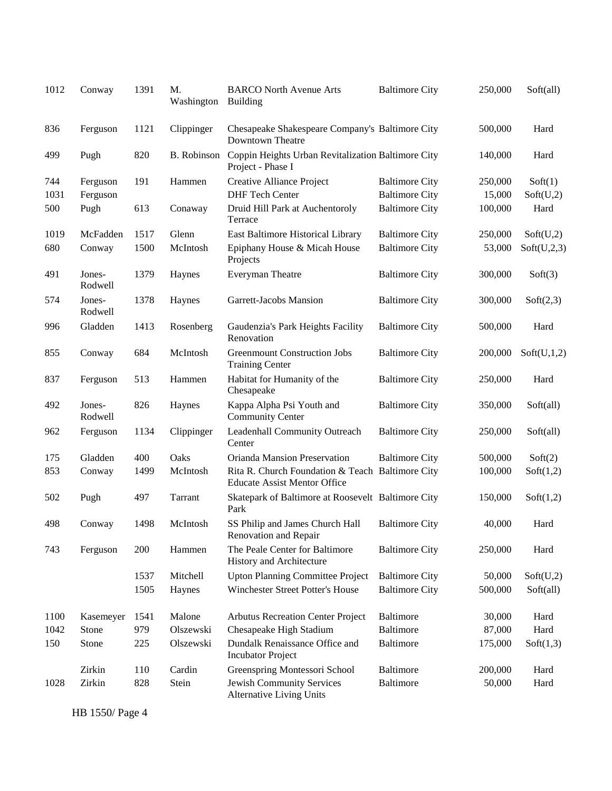| 1012 | Conway            | 1391 | M.<br>Washington   | <b>BARCO North Avenue Arts</b><br><b>Building</b>                                       | <b>Baltimore City</b> | 250,000 | Soft(all)   |
|------|-------------------|------|--------------------|-----------------------------------------------------------------------------------------|-----------------------|---------|-------------|
| 836  | Ferguson          | 1121 | Clippinger         | Chesapeake Shakespeare Company's Baltimore City<br>Downtown Theatre                     |                       | 500,000 | Hard        |
| 499  | Pugh              | 820  | <b>B.</b> Robinson | Coppin Heights Urban Revitalization Baltimore City<br>Project - Phase I                 |                       | 140,000 | Hard        |
| 744  | Ferguson          | 191  | Hammen             | Creative Alliance Project                                                               | <b>Baltimore City</b> | 250,000 | Soft(1)     |
| 1031 | Ferguson          |      |                    | <b>DHF</b> Tech Center                                                                  | <b>Baltimore City</b> | 15,000  | Soft(U,2)   |
| 500  | Pugh              | 613  | Conaway            | Druid Hill Park at Auchentoroly<br>Terrace                                              | <b>Baltimore City</b> | 100,000 | Hard        |
| 1019 | McFadden          | 1517 | Glenn              | East Baltimore Historical Library                                                       | <b>Baltimore City</b> | 250,000 | Soft(U,2)   |
| 680  | Conway            | 1500 | McIntosh           | Epiphany House & Micah House<br>Projects                                                | <b>Baltimore City</b> | 53,000  | Soft(U,2,3) |
| 491  | Jones-<br>Rodwell | 1379 | Haynes             | Everyman Theatre                                                                        | <b>Baltimore City</b> | 300,000 | Soft(3)     |
| 574  | Jones-<br>Rodwell | 1378 | Haynes             | Garrett-Jacobs Mansion                                                                  | <b>Baltimore City</b> | 300,000 | Soft(2,3)   |
| 996  | Gladden           | 1413 | Rosenberg          | Gaudenzia's Park Heights Facility<br>Renovation                                         | <b>Baltimore City</b> | 500,000 | Hard        |
| 855  | Conway            | 684  | McIntosh           | <b>Greenmount Construction Jobs</b><br><b>Training Center</b>                           | <b>Baltimore City</b> | 200,000 | Soft(U,1,2) |
| 837  | Ferguson          | 513  | Hammen             | Habitat for Humanity of the<br>Chesapeake                                               | <b>Baltimore City</b> | 250,000 | Hard        |
| 492  | Jones-<br>Rodwell | 826  | Haynes             | Kappa Alpha Psi Youth and<br><b>Community Center</b>                                    | <b>Baltimore City</b> | 350,000 | Soft(all)   |
| 962  | Ferguson          | 1134 | Clippinger         | Leadenhall Community Outreach<br>Center                                                 | <b>Baltimore City</b> | 250,000 | Soft(all)   |
| 175  | Gladden           | 400  | Oaks               | Orianda Mansion Preservation                                                            | <b>Baltimore City</b> | 500,000 | Soft(2)     |
| 853  | Conway            | 1499 | McIntosh           | Rita R. Church Foundation & Teach Baltimore City<br><b>Educate Assist Mentor Office</b> |                       | 100,000 | Soft(1,2)   |
| 502  | Pugh              | 497  | Tarrant            | Skatepark of Baltimore at Roosevelt Baltimore City<br>Park                              |                       | 150,000 | Soft(1,2)   |
| 498  | Conway            | 1498 | McIntosh           | SS Philip and James Church Hall<br>Renovation and Repair                                | <b>Baltimore City</b> | 40,000  | Hard        |
| 743  | Ferguson          | 200  | Hammen             | The Peale Center for Baltimore<br>History and Architecture                              | <b>Baltimore City</b> | 250,000 | Hard        |
|      |                   | 1537 | Mitchell           | <b>Upton Planning Committee Project</b>                                                 | <b>Baltimore City</b> | 50,000  | Soft(U,2)   |
|      |                   | 1505 | Haynes             | Winchester Street Potter's House                                                        | <b>Baltimore City</b> | 500,000 | Soft(all)   |
| 1100 | Kasemeyer         | 1541 | Malone             | <b>Arbutus Recreation Center Project</b>                                                | Baltimore             | 30,000  | Hard        |
| 1042 | Stone             | 979  | Olszewski          | Chesapeake High Stadium                                                                 | <b>Baltimore</b>      | 87,000  | Hard        |
| 150  | Stone             | 225  | Olszewski          | Dundalk Renaissance Office and<br><b>Incubator Project</b>                              | Baltimore             | 175,000 | Soft(1,3)   |
|      | Zirkin            | 110  | Cardin             | Greenspring Montessori School                                                           | Baltimore             | 200,000 | Hard        |
| 1028 | Zirkin            | 828  | Stein              | Jewish Community Services<br><b>Alternative Living Units</b>                            | <b>Baltimore</b>      | 50,000  | Hard        |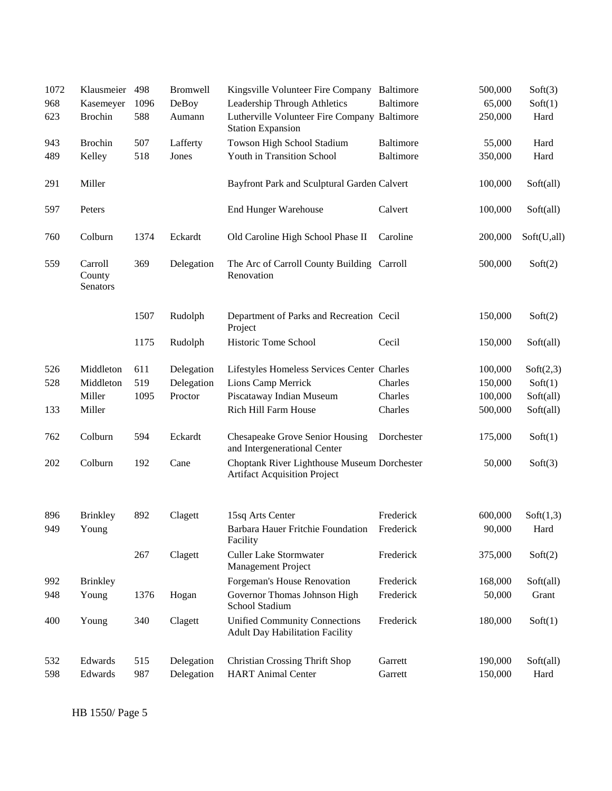| 1072       | Klausmeier                    | 498  | <b>Bromwell</b> | Kingsville Volunteer Fire Company Baltimore                                        |                  | 500,000           | Soft(3)           |
|------------|-------------------------------|------|-----------------|------------------------------------------------------------------------------------|------------------|-------------------|-------------------|
| 968        | Kasemeyer                     | 1096 | DeBoy           | Leadership Through Athletics                                                       | <b>Baltimore</b> | 65,000            | Soft(1)           |
| 623        | <b>Brochin</b>                | 588  | Aumann          | Lutherville Volunteer Fire Company Baltimore<br><b>Station Expansion</b>           |                  | 250,000           | Hard              |
| 943        | <b>Brochin</b>                | 507  | Lafferty        | Towson High School Stadium                                                         | Baltimore        | 55,000            | Hard              |
| 489        | Kelley                        | 518  | Jones           | Youth in Transition School                                                         | Baltimore        | 350,000           | Hard              |
| 291        | Miller                        |      |                 | Bayfront Park and Sculptural Garden Calvert                                        |                  | 100,000           | Soft(all)         |
| 597        | Peters                        |      |                 | <b>End Hunger Warehouse</b>                                                        | Calvert          | 100,000           | Soft(all)         |
| 760        | Colburn                       | 1374 | Eckardt         | Old Caroline High School Phase II                                                  | Caroline         | 200,000           | Soft(U,all)       |
| 559        | Carroll<br>County<br>Senators | 369  | Delegation      | The Arc of Carroll County Building Carroll<br>Renovation                           |                  | 500,000           | Soft(2)           |
|            |                               | 1507 | Rudolph         | Department of Parks and Recreation Cecil<br>Project                                |                  | 150,000           | Soft(2)           |
|            |                               | 1175 | Rudolph         | Historic Tome School                                                               | Cecil            | 150,000           | Soft(all)         |
| 526        | Middleton                     | 611  | Delegation      | Lifestyles Homeless Services Center Charles                                        |                  | 100,000           | Soft(2,3)         |
| 528        | Middleton                     | 519  | Delegation      | Lions Camp Merrick                                                                 | Charles          | 150,000           | Soft(1)           |
|            | Miller                        | 1095 | Proctor         | Piscataway Indian Museum                                                           | Charles          | 100,000           | Soft(all)         |
| 133        | Miller                        |      |                 | Rich Hill Farm House                                                               | Charles          | 500,000           | Soft(all)         |
| 762        | Colburn                       | 594  | Eckardt         | Chesapeake Grove Senior Housing<br>and Intergenerational Center                    | Dorchester       | 175,000           | Soft(1)           |
| 202        | Colburn                       | 192  | Cane            | Choptank River Lighthouse Museum Dorchester<br><b>Artifact Acquisition Project</b> |                  | 50,000            | Soft(3)           |
|            |                               |      |                 |                                                                                    | Frederick        |                   |                   |
| 896<br>949 | <b>Brinkley</b><br>Young      | 892  | Clagett         | 15sq Arts Center<br>Barbara Hauer Fritchie Foundation<br>Facility                  | Frederick        | 600,000<br>90,000 | Soft(1,3)<br>Hard |
|            |                               | 267  | Clagett         | <b>Culler Lake Stormwater</b><br><b>Management Project</b>                         | Frederick        | 375,000           | Soft(2)           |
| 992        | <b>Brinkley</b>               |      |                 | Forgeman's House Renovation                                                        | Frederick        | 168,000           | Soft(all)         |
| 948        | Young                         | 1376 | Hogan           | Governor Thomas Johnson High<br>School Stadium                                     | Frederick        | 50,000            | Grant             |
| 400        | Young                         | 340  | Clagett         | <b>Unified Community Connections</b><br><b>Adult Day Habilitation Facility</b>     | Frederick        | 180,000           | Soft(1)           |
| 532        | Edwards                       | 515  | Delegation      | <b>Christian Crossing Thrift Shop</b>                                              | Garrett          | 190,000           | Soft(all)         |
| 598        | Edwards                       | 987  | Delegation      | <b>HART</b> Animal Center                                                          | Garrett          | 150,000           | Hard              |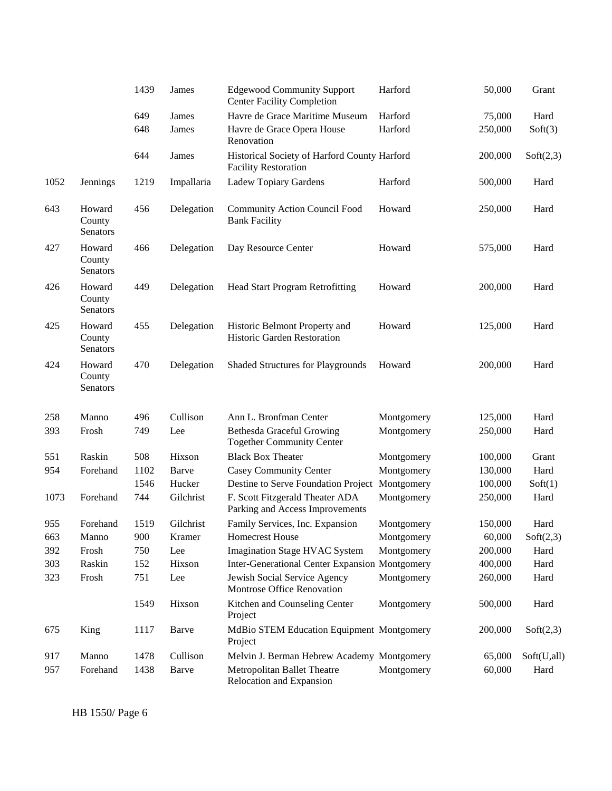|      |                              | 1439 | James      | <b>Edgewood Community Support</b><br><b>Center Facility Completion</b>      | Harford    | 50,000  | Grant       |
|------|------------------------------|------|------------|-----------------------------------------------------------------------------|------------|---------|-------------|
|      |                              | 649  | James      | Havre de Grace Maritime Museum                                              | Harford    | 75,000  | Hard        |
|      |                              | 648  | James      | Havre de Grace Opera House<br>Renovation                                    | Harford    | 250,000 | Soft(3)     |
|      |                              | 644  | James      | Historical Society of Harford County Harford<br><b>Facility Restoration</b> |            | 200,000 | Soft(2,3)   |
| 1052 | Jennings                     | 1219 | Impallaria | Ladew Topiary Gardens                                                       | Harford    | 500,000 | Hard        |
| 643  | Howard<br>County<br>Senators | 456  | Delegation | <b>Community Action Council Food</b><br><b>Bank Facility</b>                | Howard     | 250,000 | Hard        |
| 427  | Howard<br>County<br>Senators | 466  | Delegation | Day Resource Center                                                         | Howard     | 575,000 | Hard        |
| 426  | Howard<br>County<br>Senators | 449  | Delegation | Head Start Program Retrofitting                                             | Howard     | 200,000 | Hard        |
| 425  | Howard<br>County<br>Senators | 455  | Delegation | Historic Belmont Property and<br>Historic Garden Restoration                | Howard     | 125,000 | Hard        |
| 424  | Howard<br>County<br>Senators | 470  | Delegation | <b>Shaded Structures for Playgrounds</b>                                    | Howard     | 200,000 | Hard        |
| 258  | Manno                        | 496  | Cullison   | Ann L. Bronfman Center                                                      | Montgomery | 125,000 | Hard        |
| 393  | Frosh                        | 749  | Lee        | <b>Bethesda Graceful Growing</b><br><b>Together Community Center</b>        | Montgomery | 250,000 | Hard        |
| 551  | Raskin                       | 508  | Hixson     | <b>Black Box Theater</b>                                                    | Montgomery | 100,000 | Grant       |
| 954  | Forehand                     | 1102 | Barve      | Casey Community Center                                                      | Montgomery | 130,000 | Hard        |
|      |                              | 1546 | Hucker     | Destine to Serve Foundation Project Montgomery                              |            | 100,000 | Soft(1)     |
| 1073 | Forehand                     | 744  | Gilchrist  | F. Scott Fitzgerald Theater ADA<br>Parking and Access Improvements          | Montgomery | 250,000 | Hard        |
| 955  | Forehand                     | 1519 | Gilchrist  | Family Services, Inc. Expansion                                             | Montgomery | 150,000 | Hard        |
| 663  | Manno                        | 900  | Kramer     | <b>Homecrest House</b>                                                      | Montgomery | 60,000  | Soft(2,3)   |
| 392  | Frosh                        | 750  | Lee        | Imagination Stage HVAC System                                               | Montgomery | 200,000 | Hard        |
| 303  | Raskin                       | 152  | Hixson     | <b>Inter-Generational Center Expansion Montgomery</b>                       |            | 400,000 | Hard        |
| 323  | Frosh                        | 751  | Lee        | Jewish Social Service Agency<br>Montrose Office Renovation                  | Montgomery | 260,000 | Hard        |
|      |                              | 1549 | Hixson     | Kitchen and Counseling Center<br>Project                                    | Montgomery | 500,000 | Hard        |
| 675  | King                         | 1117 | Barve      | MdBio STEM Education Equipment Montgomery<br>Project                        |            | 200,000 | Soft(2,3)   |
| 917  | Manno                        | 1478 | Cullison   | Melvin J. Berman Hebrew Academy Montgomery                                  |            | 65,000  | Soft(U,all) |
| 957  | Forehand                     | 1438 | Barve      | Metropolitan Ballet Theatre<br>Relocation and Expansion                     | Montgomery | 60,000  | Hard        |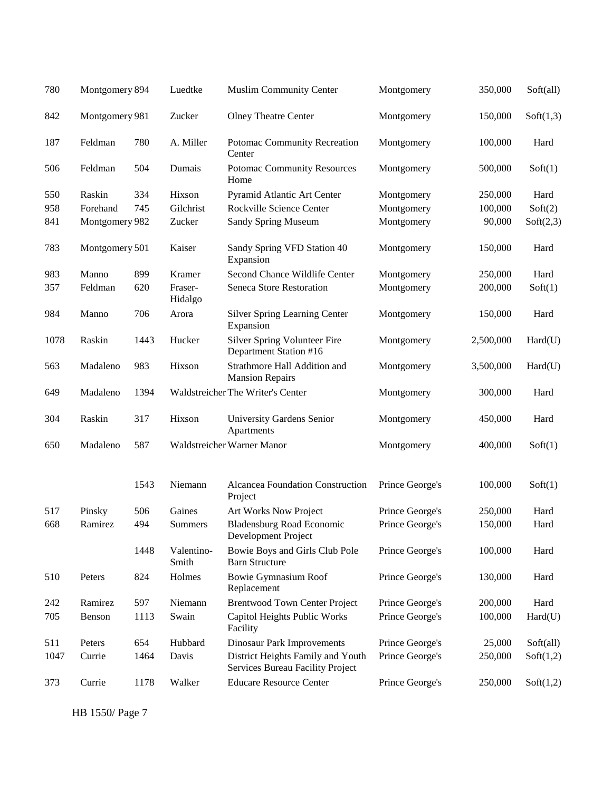| 780  | Montgomery 894 |      | Luedtke             | <b>Muslim Community Center</b>                                        | Montgomery      | 350,000   | Soft(all) |
|------|----------------|------|---------------------|-----------------------------------------------------------------------|-----------------|-----------|-----------|
| 842  | Montgomery 981 |      | Zucker              | <b>Olney Theatre Center</b>                                           | Montgomery      | 150,000   | Soft(1,3) |
| 187  | Feldman        | 780  | A. Miller           | Potomac Community Recreation<br>Center                                | Montgomery      | 100,000   | Hard      |
| 506  | Feldman        | 504  | Dumais              | <b>Potomac Community Resources</b><br>Home                            | Montgomery      | 500,000   | Soft(1)   |
| 550  | Raskin         | 334  | Hixson              | Pyramid Atlantic Art Center                                           | Montgomery      | 250,000   | Hard      |
| 958  | Forehand       | 745  | Gilchrist           | Rockville Science Center                                              | Montgomery      | 100,000   | Soft(2)   |
| 841  | Montgomery 982 |      | Zucker              | Sandy Spring Museum                                                   | Montgomery      | 90,000    | Soft(2,3) |
| 783  | Montgomery 501 |      | Kaiser              | Sandy Spring VFD Station 40<br>Expansion                              | Montgomery      | 150,000   | Hard      |
| 983  | Manno          | 899  | Kramer              | Second Chance Wildlife Center                                         | Montgomery      | 250,000   | Hard      |
| 357  | Feldman        | 620  | Fraser-<br>Hidalgo  | Seneca Store Restoration                                              | Montgomery      | 200,000   | Soft(1)   |
| 984  | Manno          | 706  | Arora               | Silver Spring Learning Center<br>Expansion                            | Montgomery      | 150,000   | Hard      |
| 1078 | Raskin         | 1443 | Hucker              | <b>Silver Spring Volunteer Fire</b><br>Department Station #16         | Montgomery      | 2,500,000 | Hard(U)   |
| 563  | Madaleno       | 983  | Hixson              | Strathmore Hall Addition and<br><b>Mansion Repairs</b>                | Montgomery      | 3,500,000 | Hard(U)   |
| 649  | Madaleno       | 1394 |                     | Waldstreicher The Writer's Center                                     | Montgomery      | 300,000   | Hard      |
| 304  | Raskin         | 317  | Hixson              | University Gardens Senior<br>Apartments                               | Montgomery      | 450,000   | Hard      |
| 650  | Madaleno       | 587  |                     | Waldstreicher Warner Manor                                            | Montgomery      | 400,000   | Soft(1)   |
|      |                | 1543 | Niemann             | <b>Alcancea Foundation Construction</b><br>Project                    | Prince George's | 100,000   | Soft(1)   |
| 517  | Pinsky         | 506  | Gaines              | Art Works Now Project                                                 | Prince George's | 250,000   | Hard      |
| 668  | Ramirez        | 494  | Summers             | <b>Bladensburg Road Economic</b><br>Development Project               | Prince George's | 150,000   | Hard      |
|      |                | 1448 | Valentino-<br>Smith | Bowie Boys and Girls Club Pole<br><b>Barn Structure</b>               | Prince George's | 100,000   | Hard      |
| 510  |                |      |                     |                                                                       |                 |           |           |
|      | Peters         | 824  | Holmes              | <b>Bowie Gymnasium Roof</b><br>Replacement                            | Prince George's | 130,000   | Hard      |
| 242  | Ramirez        | 597  | Niemann             | <b>Brentwood Town Center Project</b>                                  | Prince George's | 200,000   | Hard      |
| 705  | Benson         | 1113 | Swain               | Capitol Heights Public Works<br>Facility                              | Prince George's | 100,000   | Hard(U)   |
| 511  | Peters         | 654  | Hubbard             | <b>Dinosaur Park Improvements</b>                                     | Prince George's | 25,000    | Soft(all) |
| 1047 | Currie         | 1464 | Davis               | District Heights Family and Youth<br>Services Bureau Facility Project | Prince George's | 250,000   | Soft(1,2) |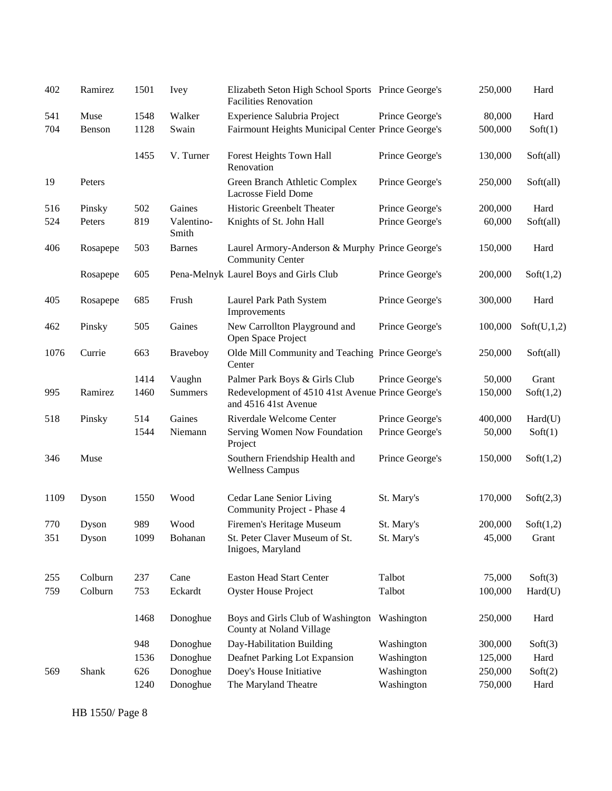| 402  | Ramirez  | 1501 | Ivey                | Elizabeth Seton High School Sports Prince George's<br><b>Facilities Renovation</b> |                 | 250,000 | Hard        |
|------|----------|------|---------------------|------------------------------------------------------------------------------------|-----------------|---------|-------------|
| 541  | Muse     | 1548 | Walker              | Experience Salubria Project                                                        | Prince George's | 80,000  | Hard        |
| 704  | Benson   | 1128 | Swain               | Fairmount Heights Municipal Center Prince George's                                 |                 | 500,000 | Soft(1)     |
|      |          | 1455 | V. Turner           | Forest Heights Town Hall<br>Renovation                                             | Prince George's | 130,000 | Soft(all)   |
| 19   | Peters   |      |                     | Green Branch Athletic Complex<br>Lacrosse Field Dome                               | Prince George's | 250,000 | Soft(all)   |
| 516  | Pinsky   | 502  | Gaines              | Historic Greenbelt Theater                                                         | Prince George's | 200,000 | Hard        |
| 524  | Peters   | 819  | Valentino-<br>Smith | Knights of St. John Hall                                                           | Prince George's | 60,000  | Soft(all)   |
| 406  | Rosapepe | 503  | <b>Barnes</b>       | Laurel Armory-Anderson & Murphy Prince George's<br><b>Community Center</b>         |                 | 150,000 | Hard        |
|      | Rosapepe | 605  |                     | Pena-Melnyk Laurel Boys and Girls Club                                             | Prince George's | 200,000 | Soft(1,2)   |
| 405  | Rosapepe | 685  | Frush               | Laurel Park Path System<br>Improvements                                            | Prince George's | 300,000 | Hard        |
| 462  | Pinsky   | 505  | Gaines              | New Carrollton Playground and<br>Open Space Project                                | Prince George's | 100,000 | Soft(U,1,2) |
| 1076 | Currie   | 663  | Braveboy            | Olde Mill Community and Teaching Prince George's<br>Center                         |                 | 250,000 | Soft(all)   |
|      |          | 1414 | Vaughn              | Palmer Park Boys & Girls Club                                                      | Prince George's | 50,000  | Grant       |
| 995  | Ramirez  | 1460 | Summers             | Redevelopment of 4510 41st Avenue Prince George's<br>and 4516 41st Avenue          |                 | 150,000 | Soft(1,2)   |
| 518  | Pinsky   | 514  | Gaines              | Riverdale Welcome Center                                                           | Prince George's | 400,000 | Hard(U)     |
|      |          | 1544 | Niemann             | Serving Women Now Foundation<br>Project                                            | Prince George's | 50,000  | Soft(1)     |
| 346  | Muse     |      |                     | Southern Friendship Health and<br><b>Wellness Campus</b>                           | Prince George's | 150,000 | Soft(1,2)   |
| 1109 | Dyson    | 1550 | Wood                | Cedar Lane Senior Living<br>Community Project - Phase 4                            | St. Mary's      | 170,000 | Soft(2,3)   |
| 770  | Dyson    | 989  | Wood                | Firemen's Heritage Museum                                                          | St. Mary's      | 200,000 | Soft(1,2)   |
| 351  | Dyson    | 1099 | Bohanan             | St. Peter Claver Museum of St.<br>Inigoes, Maryland                                | St. Mary's      | 45,000  | Grant       |
| 255  | Colburn  | 237  | Cane                | <b>Easton Head Start Center</b>                                                    | Talbot          | 75,000  | Soft(3)     |
| 759  | Colburn  | 753  | Eckardt             | <b>Oyster House Project</b>                                                        | Talbot          | 100,000 | Hard(U)     |
|      |          | 1468 | Donoghue            | Boys and Girls Club of Washington<br>County at Noland Village                      | Washington      | 250,000 | Hard        |
|      |          | 948  | Donoghue            | Day-Habilitation Building                                                          | Washington      | 300,000 | Soft(3)     |
|      |          | 1536 | Donoghue            | Deafnet Parking Lot Expansion                                                      | Washington      | 125,000 | Hard        |
| 569  | Shank    | 626  | Donoghue            | Doey's House Initiative                                                            | Washington      | 250,000 | Soft(2)     |
|      |          | 1240 | Donoghue            | The Maryland Theatre                                                               | Washington      | 750,000 | Hard        |